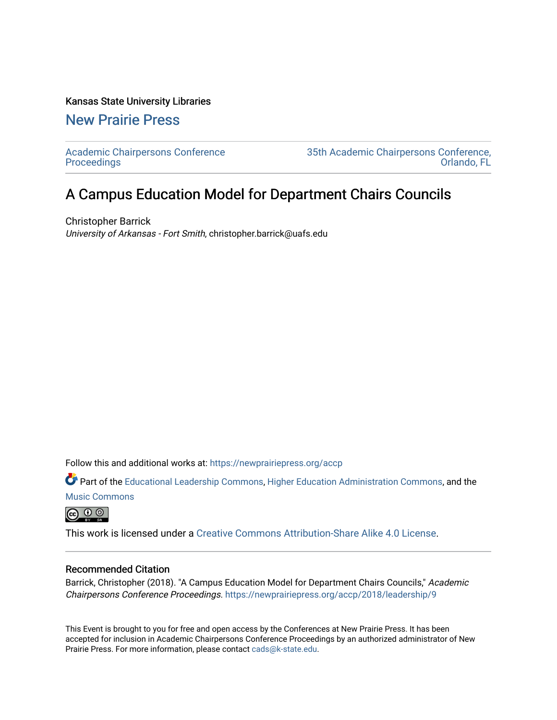#### Kansas State University Libraries

[New Prairie Press](https://newprairiepress.org/) 

[Academic Chairpersons Conference](https://newprairiepress.org/accp)  **Proceedings** 

[35th Academic Chairpersons Conference,](https://newprairiepress.org/accp/2018)  [Orlando, FL](https://newprairiepress.org/accp/2018) 

# A Campus Education Model for Department Chairs Councils

Christopher Barrick University of Arkansas - Fort Smith, christopher.barrick@uafs.edu

Follow this and additional works at: [https://newprairiepress.org/accp](https://newprairiepress.org/accp?utm_source=newprairiepress.org%2Faccp%2F2018%2Fleadership%2F9&utm_medium=PDF&utm_campaign=PDFCoverPages) 

Part of the [Educational Leadership Commons,](http://network.bepress.com/hgg/discipline/1230?utm_source=newprairiepress.org%2Faccp%2F2018%2Fleadership%2F9&utm_medium=PDF&utm_campaign=PDFCoverPages) [Higher Education Administration Commons,](http://network.bepress.com/hgg/discipline/791?utm_source=newprairiepress.org%2Faccp%2F2018%2Fleadership%2F9&utm_medium=PDF&utm_campaign=PDFCoverPages) and the [Music Commons](http://network.bepress.com/hgg/discipline/518?utm_source=newprairiepress.org%2Faccp%2F2018%2Fleadership%2F9&utm_medium=PDF&utm_campaign=PDFCoverPages) 

 $\bigoplus$   $\bigoplus$   $\bigoplus$ 

This work is licensed under a [Creative Commons Attribution-Share Alike 4.0 License.](https://creativecommons.org/licenses/by-sa/4.0/)

#### Recommended Citation

Barrick, Christopher (2018). "A Campus Education Model for Department Chairs Councils," Academic Chairpersons Conference Proceedings. <https://newprairiepress.org/accp/2018/leadership/9>

This Event is brought to you for free and open access by the Conferences at New Prairie Press. It has been accepted for inclusion in Academic Chairpersons Conference Proceedings by an authorized administrator of New Prairie Press. For more information, please contact [cads@k-state.edu.](mailto:cads@k-state.edu)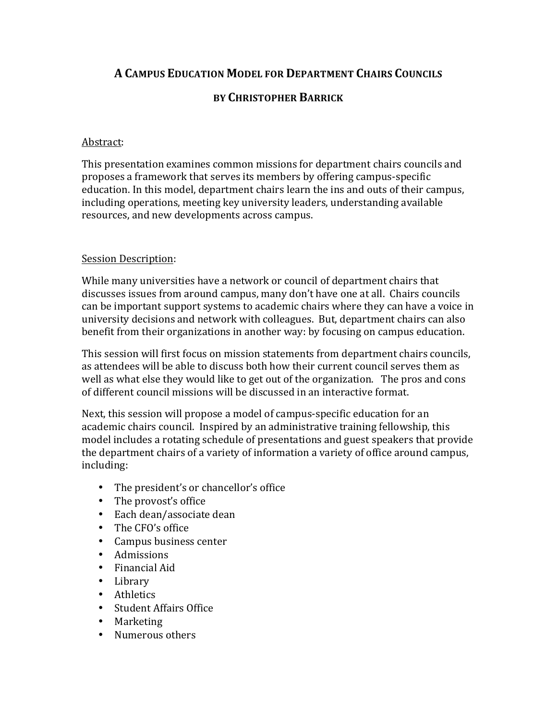## **A CAMPUS EDUCATION MODEL FOR DEPARTMENT CHAIRS COUNCILS**

## **BY CHRISTOPHER BARRICK**

### Abstract:

This presentation examines common missions for department chairs councils and proposes a framework that serves its members by offering campus-specific education. In this model, department chairs learn the ins and outs of their campus, including operations, meeting key university leaders, understanding available resources, and new developments across campus.

### **Session Description:**

While many universities have a network or council of department chairs that discusses issues from around campus, many don't have one at all. Chairs councils can be important support systems to academic chairs where they can have a voice in university decisions and network with colleagues. But, department chairs can also benefit from their organizations in another way: by focusing on campus education.

This session will first focus on mission statements from department chairs councils, as attendees will be able to discuss both how their current council serves them as well as what else they would like to get out of the organization. The pros and cons of different council missions will be discussed in an interactive format.

Next, this session will propose a model of campus-specific education for an academic chairs council. Inspired by an administrative training fellowship, this model includes a rotating schedule of presentations and guest speakers that provide the department chairs of a variety of information a variety of office around campus, including:

- The president's or chancellor's office
- The provost's office
- Each dean/associate dean
- The CFO's office
- Campus business center
- Admissions
- Financial Aid
- Library
- Athletics
- Student Affairs Office
- Marketing
- Numerous others